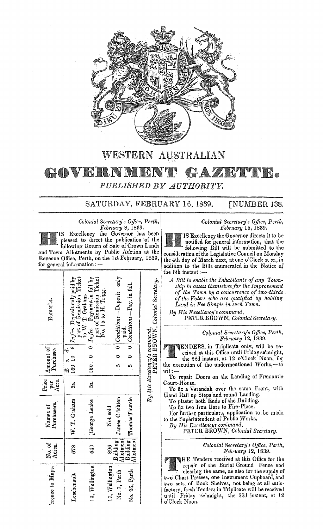

## WESTERN AUSTRALIAN GOVERNM HAZETTE. PUBLISHED BY AUTHORITY.

SATURDAY, FEBRUARY 16, 1839. **[NUMBER 138.** 

Colonial Secretary's Office, Perth, February 8, 1839. IS Excellency the Governor has been pleased to direct the publication of the<br>following Return of Sale of Crown Lands and Town Allotments by Public Auction at the Revenue Office, Perth, on the 1st February, 1839, for general information :-

| Remarka.                | 5. s. d.<br>169 10 0 <i>In fee</i> . Deposit only paid by<br>part of Remission Ticket | part of Remission Ticket<br>No. 15 to H. Trigg.<br>160.0 $\frac{1}{2}$ $\frac{1}{2}$ $\frac{1}{2}$ $\frac{1}{2}$ $\frac{1}{2}$ $\frac{1}{2}$ $\frac{1}{2}$ $\frac{1}{2}$ $\frac{1}{2}$ $\frac{1}{2}$ $\frac{1}{2}$ $\frac{1}{2}$ $\frac{1}{2}$ $\frac{1}{2}$ $\frac{1}{2}$ $\frac{1}{2}$ $\frac{1}{2}$ $\frac{1}{2}$ $\frac{1}{2}$ $\frac{1}{2}$ $\frac{1}{2}$ $\frac{1$<br>to W. T. Graham. |                | 5 0 $0$ Conditions – Deposit only | 5 0 $0$ $C)$ $\ddot{\theta}$ $\ddot{\theta}$ $\ddot{\theta}$ $\ddot{\theta}$ $\ddot{\theta}$ $\ddot{\theta}$ $\ddot{\theta}$ $\ddot{\theta}$ $\ddot{\theta}$ $\ddot{\theta}$ $\ddot{\theta}$ $\ddot{\theta}$ $\ddot{\theta}$ $\ddot{\theta}$ $\ddot{\theta}$ $\ddot{\theta}$ $\ddot{\theta}$ $\ddot{\theta}$ $\ddot{\theta}$ $\ddot{\theta}$ $\ddot{\theta}$ $\ddot{\theta}$ $\ddot{\theta}$<br>paid. | PETER BROWN, Colonial Secretary. |
|-------------------------|---------------------------------------------------------------------------------------|----------------------------------------------------------------------------------------------------------------------------------------------------------------------------------------------------------------------------------------------------------------------------------------------------------------------------------------------------------------------------------------------|----------------|-----------------------------------|-------------------------------------------------------------------------------------------------------------------------------------------------------------------------------------------------------------------------------------------------------------------------------------------------------------------------------------------------------------------------------------------------------|----------------------------------|
| Amount of               |                                                                                       |                                                                                                                                                                                                                                                                                                                                                                                              |                |                                   |                                                                                                                                                                                                                                                                                                                                                                                                       |                                  |
| Purchase.               |                                                                                       |                                                                                                                                                                                                                                                                                                                                                                                              |                |                                   |                                                                                                                                                                                                                                                                                                                                                                                                       |                                  |
|                         |                                                                                       |                                                                                                                                                                                                                                                                                                                                                                                              |                |                                   |                                                                                                                                                                                                                                                                                                                                                                                                       |                                  |
| per<br>Acre.<br>Price   | <br>5                                                                                 | .<br>ມື້                                                                                                                                                                                                                                                                                                                                                                                     |                |                                   |                                                                                                                                                                                                                                                                                                                                                                                                       | By His Excellency's command,     |
| Purchasers.<br>Names of | W. T. Graham                                                                          | George Leake                                                                                                                                                                                                                                                                                                                                                                                 | Not sold       | James Crichton                    | Building   Thomas Thurcle<br>Allotment                                                                                                                                                                                                                                                                                                                                                                |                                  |
| No. of<br>Acrea.        | 678                                                                                   | 640                                                                                                                                                                                                                                                                                                                                                                                          | 896            | Allotment<br>Building             |                                                                                                                                                                                                                                                                                                                                                                                                       |                                  |
| erence to Maps.         | Leschenault                                                                           | 19, Wellington                                                                                                                                                                                                                                                                                                                                                                               | 17, Wellington | No. 7, Perth 1                    | No. 26, Perth                                                                                                                                                                                                                                                                                                                                                                                         |                                  |

## Colonial Secretary's Office, Perth,<br>February 15, 1839.

IS Excellency the Governer directs it to be notified for general information, that the following Bill will be submitted to the consideration of the Legislative Council on Monday the 4th day of March next, at one o'Clock P. M., in addition to the Bills enumerated in the Notice of the 8th instant:

A Bill to enable the Inhabitants of any Township to assess themselves for the Improvement of the Town by a concurrence of two-thirds of the Voters who are qualified by holding Land in Fee Simple in such Town.

By His Excellency's command, PETER BROWN, Colonial Secretary.

> Colonial Secretary's Office, Perth, February 12, 1839.

**ENDERS, in Triplicate only, will be re**ceived at this Office until Friday se'nnight, the 22d instant, at 12 o'Clock Noon, for

the execution of the undermentioned Works,-to wit : -

To repair Doors on the Landing of Fremantle Court-House.

To fix a Verandah over the same Front, with Hand-Rail up Steps and round Landing.

To plaster both Ends of the Building.

To fix two Iron Bars to Fire-Place.

For further particulars, application to be made<br>to the Superintendent of Public Works.

By His Excellencys command,

PETER BROWN, Colonial Secretary.

Colonial Secretary's Office, Perth,<br>February 12, 1839.

HE Tenders received at this Office for the repair of the Burial Ground Fence and clearing the same, as also for the supply of two Chart Presses, one Instrument Cupboard, and<br>two sets of Book Shelves, not being at all satisfactory, fresh Tenders in Triplicate will be received<br>until Friday se'nnight, the 22d instant, at 12 o'Clock Noon.